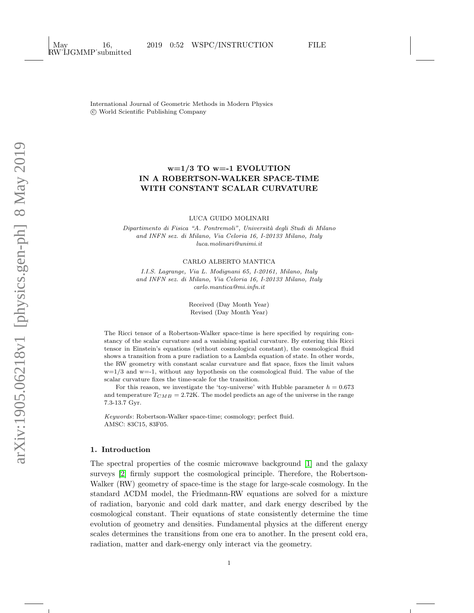International Journal of Geometric Methods in Modern Physics c World Scientific Publishing Company

# w=1/3 TO w=-1 EVOLUTION IN A ROBERTSON-WALKER SPACE-TIME WITH CONSTANT SCALAR CURVATURE

LUCA GUIDO MOLINARI

Dipartimento di Fisica "A. Pontremoli", Università degli Studi di Milano and INFN sez. di Milano, Via Celoria 16, I-20133 Milano, Italy luca.molinari@unimi.it

#### CARLO ALBERTO MANTICA

I.I.S. Lagrange, Via L. Modignani 65, I-20161, Milano, Italy and INFN sez. di Milano, Via Celoria 16, I-20133 Milano, Italy carlo.mantica@mi.infn.it

> Received (Day Month Year) Revised (Day Month Year)

The Ricci tensor of a Robertson-Walker space-time is here specified by requiring constancy of the scalar curvature and a vanishing spatial curvature. By entering this Ricci tensor in Einstein's equations (without cosmological constant), the cosmological fluid shows a transition from a pure radiation to a Lambda equation of state. In other words, the RW geometry with constant scalar curvature and flat space, fixes the limit values  $w=1/3$  and  $w=-1$ , without any hypothesis on the cosmological fluid. The value of the scalar curvature fixes the time-scale for the transition.

For this reason, we investigate the 'toy-universe' with Hubble parameter  $h = 0.673$ and temperature  $T_{CMB} = 2.72$ K. The model predicts an age of the universe in the range 7.3-13.7 Gyr.

Keywords: Robertson-Walker space-time; cosmology; perfect fluid. AMSC: 83C15, 83F05.

### 1. Introduction

The spectral properties of the cosmic microwave background [\[1\]](#page-6-0) and the galaxy surveys [\[2\]](#page-6-1) firmly support the cosmological principle. Therefore, the Robertson-Walker (RW) geometry of space-time is the stage for large-scale cosmology. In the standard ΛCDM model, the Friedmann-RW equations are solved for a mixture of radiation, baryonic and cold dark matter, and dark energy described by the cosmological constant. Their equations of state consistently determine the time evolution of geometry and densities. Fundamental physics at the different energy scales determines the transitions from one era to another. In the present cold era, radiation, matter and dark-energy only interact via the geometry.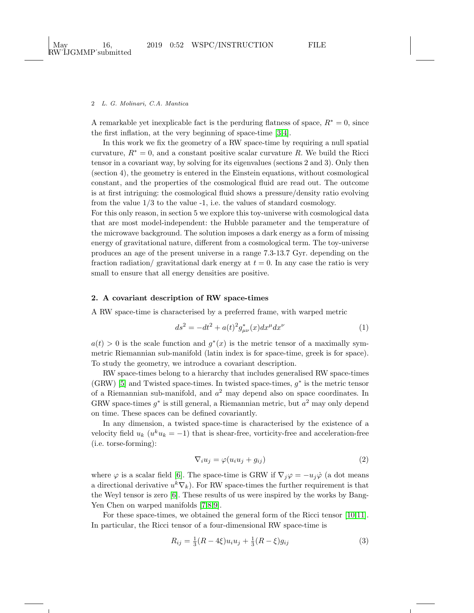#### 2 L. G. Molinari, C.A. Mantica

A remarkable yet inexplicable fact is the perduring flatness of space,  $R^* = 0$ , since the first inflation, at the very beginning of space-time [\[3,](#page-7-0)[4\]](#page-7-1).

In this work we fix the geometry of a RW space-time by requiring a null spatial curvature,  $R^* = 0$ , and a constant positive scalar curvature R. We build the Ricci tensor in a covariant way, by solving for its eigenvalues (sections 2 and 3). Only then (section 4), the geometry is entered in the Einstein equations, without cosmological constant, and the properties of the cosmological fluid are read out. The outcome is at first intriguing: the cosmological fluid shows a pressure/density ratio evolving from the value 1/3 to the value -1, i.e. the values of standard cosmology.

For this only reason, in section 5 we explore this toy-universe with cosmological data that are most model-independent: the Hubble parameter and the temperature of the microwave background. The solution imposes a dark energy as a form of missing energy of gravitational nature, different from a cosmological term. The toy-universe produces an age of the present universe in a range 7.3-13.7 Gyr. depending on the fraction radiation/ gravitational dark energy at  $t = 0$ . In any case the ratio is very small to ensure that all energy densities are positive.

## 2. A covariant description of RW space-times

A RW space-time is characterised by a preferred frame, with warped metric

<span id="page-1-1"></span>
$$
ds^{2} = -dt^{2} + a(t)^{2} g_{\mu\nu}^{*}(x) dx^{\mu} dx^{\nu}
$$
 (1)

 $a(t) > 0$  is the scale function and  $g^*(x)$  is the metric tensor of a maximally symmetric Riemannian sub-manifold (latin index is for space-time, greek is for space). To study the geometry, we introduce a covariant description.

RW space-times belong to a hierarchy that includes generalised RW space-times (GRW) [\[5\]](#page-7-2) and Twisted space-times. In twisted space-times,  $g^*$  is the metric tensor of a Riemannian sub-manifold, and  $a<sup>2</sup>$  may depend also on space coordinates. In GRW space-times  $g^*$  is still general, a Riemannian metric, but  $a^2$  may only depend on time. These spaces can be defined covariantly.

In any dimension, a twisted space-time is characterised by the existence of a velocity field  $u_k$  ( $u^k u_k = -1$ ) that is shear-free, vorticity-free and acceleration-free (i.e. torse-forming):

<span id="page-1-2"></span><span id="page-1-0"></span>
$$
\nabla_i u_j = \varphi(u_i u_j + g_{ij}) \tag{2}
$$

where  $\varphi$  is a scalar field [\[6\]](#page-7-3). The space-time is GRW if  $\nabla_j \varphi = -u_j \dot{\varphi}$  (a dot means a directional derivative  $u^k \nabla_k$ ). For RW space-times the further requirement is that the Weyl tensor is zero [\[6\]](#page-7-3). These results of us were inspired by the works by Bang-Yen Chen on warped manifolds [\[7,](#page-7-4)[8](#page-7-5)[,9\]](#page-7-6).

For these space-times, we obtained the general form of the Ricci tensor [\[10,](#page-7-7)[11\]](#page-7-8). In particular, the Ricci tensor of a four-dimensional RW space-time is

$$
R_{ij} = \frac{1}{3}(R - 4\xi)u_i u_j + \frac{1}{3}(R - \xi)g_{ij}
$$
\n(3)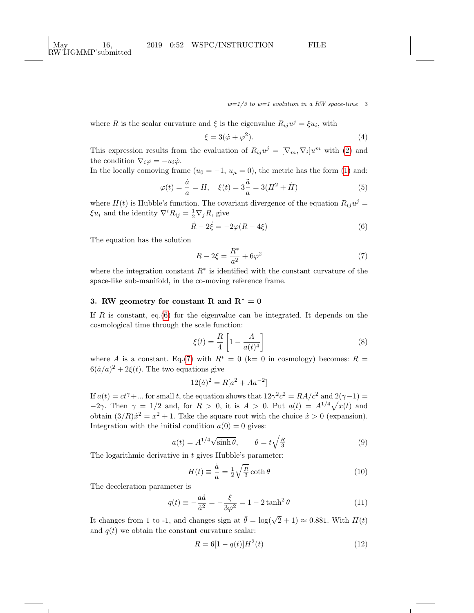$w=1/3$  to  $w=1$  evolution in a RW space-time 3

where R is the scalar curvature and  $\xi$  is the eigenvalue  $R_{ij}u^j = \xi u_i$ , with

$$
\xi = 3(\dot{\varphi} + \varphi^2). \tag{4}
$$

This expression results from the evaluation of  $R_{ij}u^j = [\nabla_m, \nabla_i]u^m$  with [\(2\)](#page-1-0) and the condition  $\nabla_i \varphi = -u_i \dot{\varphi}$ .

In the locally comoving frame  $(u_0 = -1, u_\mu = 0)$ , the metric has the form [\(1\)](#page-1-1) and:

$$
\varphi(t) = \frac{\dot{a}}{a} = H, \quad \xi(t) = 3\frac{\ddot{a}}{a} = 3(H^2 + \dot{H})
$$
\n(5)

where  $H(t)$  is Hubble's function. The covariant divergence of the equation  $R_{ij}u^j =$  $\xi u_i$  and the identity  $\nabla^i R_{ij} = \frac{1}{2} \nabla_j R$ , give

$$
\dot{R} - 2\dot{\xi} = -2\varphi(R - 4\xi)
$$
\n(6)

The equation has the solution

<span id="page-2-1"></span><span id="page-2-0"></span>
$$
R - 2\xi = \frac{R^*}{a^2} + 6\varphi^2
$$
 (7)

where the integration constant  $R^*$  is identified with the constant curvature of the space-like sub-manifold, in the co-moving reference frame.

## 3. RW geometry for constant R and  $R^* = 0$

If  $R$  is constant, eq.[\(6\)](#page-2-0) for the eigenvalue can be integrated. It depends on the cosmological time through the scale function:

<span id="page-2-2"></span>
$$
\xi(t) = \frac{R}{4} \left[ 1 - \frac{A}{a(t)^4} \right] \tag{8}
$$

where A is a constant. Eq.[\(7\)](#page-2-1) with  $R^* = 0$  (k= 0 in cosmology) becomes:  $R =$  $6(\dot{a}/a)^2 + 2\xi(t)$ . The two equations give

$$
12(\dot{a})^2 = R[a^2 + Aa^{-2}]
$$

If  $a(t) = ct^{\gamma} + ...$  for small t, the equation shows that  $12\gamma^2 c^2 = RA/c^2$  and  $2(\gamma - 1) =$  $-2\gamma$ . Then  $\gamma = 1/2$  and, for  $R > 0$ , it is  $A > 0$ . Put  $a(t) = A^{1/4}\sqrt{x(t)}$  and obtain  $(3/R)\dot{x}^2 = x^2 + 1$ . Take the square root with the choice  $\dot{x} > 0$  (expansion). Integration with the initial condition  $a(0) = 0$  gives:

$$
a(t) = A^{1/4} \sqrt{\sinh \theta}, \qquad \theta = t \sqrt{\frac{R}{3}}
$$
 (9)

The logarithmic derivative in t gives Hubble's parameter:

<span id="page-2-4"></span><span id="page-2-3"></span>
$$
H(t) \equiv \frac{\dot{a}}{a} = \frac{1}{2} \sqrt{\frac{R}{3}} \coth \theta \tag{10}
$$

The deceleration parameter is

$$
q(t) \equiv -\frac{a\ddot{a}}{\dot{a}^2} = -\frac{\xi}{3\varphi^2} = 1 - 2\tanh^2\theta\tag{11}
$$

It changes from 1 to -1, and changes sign at  $\bar{\theta} = \log(\sqrt{2} + 1) \approx 0.881$ . With  $H(t)$ and  $q(t)$  we obtain the constant curvature scalar:

$$
R = 6[1 - q(t)]H^2(t)
$$
\n(12)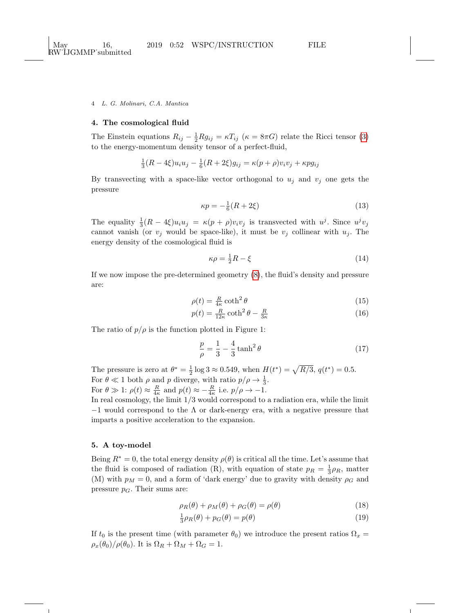4 L. G. Molinari, C.A. Mantica

## 4. The cosmological fluid

The Einstein equations  $R_{ij} - \frac{1}{2}Rg_{ij} = \kappa T_{ij}$  ( $\kappa = 8\pi G$ ) relate the Ricci tensor [\(3\)](#page-1-2) to the energy-momentum density tensor of a perfect-fluid,

$$
\frac{1}{3}(R - 4\xi)u_i u_j - \frac{1}{6}(R + 2\xi)g_{ij} = \kappa(p + \rho)v_i v_j + \kappa p g_{ij}
$$

By transvecting with a space-like vector orthogonal to  $u_j$  and  $v_j$  one gets the pressure

$$
\kappa p = -\frac{1}{6}(R + 2\xi) \tag{13}
$$

The equality  $\frac{1}{3}(R-4\xi)u_iu_j = \kappa(p+\rho)v_iv_j$  is transvected with  $u^j$ . Since  $u^jv_j$ cannot vanish (or  $v_j$  would be space-like), it must be  $v_j$  collinear with  $u_j$ . The energy density of the cosmological fluid is

$$
\kappa \rho = \frac{1}{2}R - \xi \tag{14}
$$

If we now impose the pre-determined geometry [\(8\)](#page-2-2), the fluid's density and pressure are:

$$
\rho(t) = \frac{R}{4\kappa} \coth^2 \theta \tag{15}
$$

$$
p(t) = \frac{R}{12\kappa} \coth^2 \theta - \frac{R}{3\kappa} \tag{16}
$$

The ratio of  $p/\rho$  is the function plotted in Figure 1:

$$
\frac{p}{\rho} = \frac{1}{3} - \frac{4}{3}\tanh^2\theta\tag{17}
$$

The pressure is zero at  $\theta^* = \frac{1}{2} \log 3 \approx 0.549$ , when  $H(t^*) = \sqrt{R/3}$ ,  $q(t^*) = 0.5$ . For  $\theta \ll 1$  both  $\rho$  and  $p$  diverge, with ratio  $p/\rho \rightarrow \frac{1}{3}$ . For  $\theta \gg 1$ :  $\rho(t) \approx \frac{R}{4\kappa}$  and  $p(t) \approx -\frac{R}{4\kappa}$  i.e.  $p/\rho \rightarrow -1$ .

In real cosmology, the limit 1/3 would correspond to a radiation era, while the limit  $-1$  would correspond to the  $\Lambda$  or dark-energy era, with a negative pressure that imparts a positive acceleration to the expansion.

## 5. A toy-model

Being  $R^* = 0$ , the total energy density  $\rho(\theta)$  is critical all the time. Let's assume that the fluid is composed of radiation (R), with equation of state  $p_R = \frac{1}{3}\rho_R$ , matter (M) with  $p_M = 0$ , and a form of 'dark energy' due to gravity with density  $\rho_G$  and pressure  $p_G$ . Their sums are:

<span id="page-3-1"></span><span id="page-3-0"></span>
$$
\rho_R(\theta) + \rho_M(\theta) + \rho_G(\theta) = \rho(\theta) \tag{18}
$$

$$
\frac{1}{3}\rho_R(\theta) + p_G(\theta) = p(\theta)
$$
\n(19)

If  $t_0$  is the present time (with parameter  $\theta_0$ ) we introduce the present ratios  $\Omega_x =$  $\rho_x(\theta_0)/\rho(\theta_0)$ . It is  $\Omega_R + \Omega_M + \Omega_G = 1$ .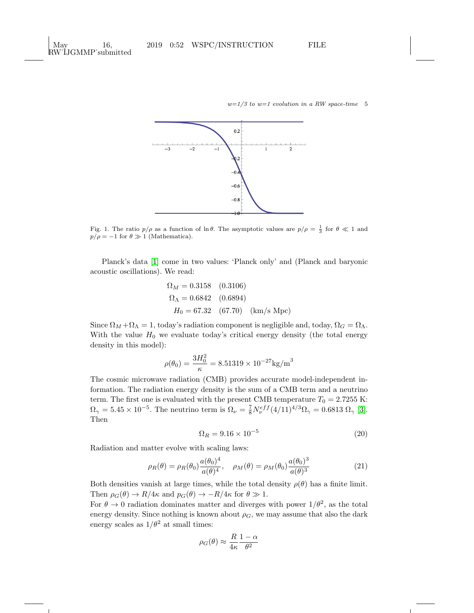$w=1/3$  to  $w=1$  evolution in a RW space-time 5



Fig. 1. The ratio  $p/\rho$  as a function of ln  $\theta$ . The asymptotic values are  $p/\rho = \frac{1}{3}$  for  $\theta \ll 1$  and  $p/\rho = -1$  for  $\theta \gg 1$  (Mathematica).

Planck's data [\[1\]](#page-6-0) come in two values: 'Planck only' and (Planck and baryonic acoustic oscillations). We read:

$$
\Omega_M = 0.3158 \quad (0.3106)
$$
  
\n
$$
\Omega_{\Lambda} = 0.6842 \quad (0.6894)
$$
  
\n
$$
H_0 = 67.32 \quad (67.70) \quad (\text{km/s Mpc})
$$

Since  $\Omega_M + \Omega_{\Lambda} = 1$ , today's radiation component is negligible and, today,  $\Omega_G = \Omega_{\Lambda}$ . With the value  $H_0$  we evaluate today's critical energy density (the total energy density in this model):

$$
\rho(\theta_0) = \frac{3H_0^2}{\kappa} = 8.51319 \times 10^{-27} \text{kg/m}^3
$$

The cosmic microwave radiation (CMB) provides accurate model-independent information. The radiation energy density is the sum of a CMB term and a neutrino term. The first one is evaluated with the present CMB temperature  $T_0 = 2.7255$  K:  $\Omega_{\gamma} = 5.45 \times 10^{-5}$ . The neutrino term is  $\Omega_{\nu} = \frac{7}{8} N_{\nu}^{eff} (4/11)^{4/3} \Omega_{\gamma} = 0.6813 \Omega_{\gamma}$  [\[3\]](#page-7-0). Then

$$
\Omega_R = 9.16 \times 10^{-5} \tag{20}
$$

Radiation and matter evolve with scaling laws:

$$
\rho_R(\theta) = \rho_R(\theta_0) \frac{a(\theta_0)^4}{a(\theta)^4}, \quad \rho_M(\theta) = \rho_M(\theta_0) \frac{a(\theta_0)^3}{a(\theta)^3}
$$
(21)

Both densities vanish at large times, while the total density  $\rho(\theta)$  has a finite limit. Then  $\rho_G(\theta) \to R/4\kappa$  and  $p_G(\theta) \to -R/4\kappa$  for  $\theta \gg 1$ .

For  $\theta \to 0$  radiation dominates matter and diverges with power  $1/\theta^2$ , as the total energy density. Since nothing is known about  $\rho_G$ , we may assume that also the dark energy scales as  $1/\theta^2$  at small times:

$$
\rho_G(\theta) \approx \frac{R}{4\kappa} \frac{1-\alpha}{\theta^2}
$$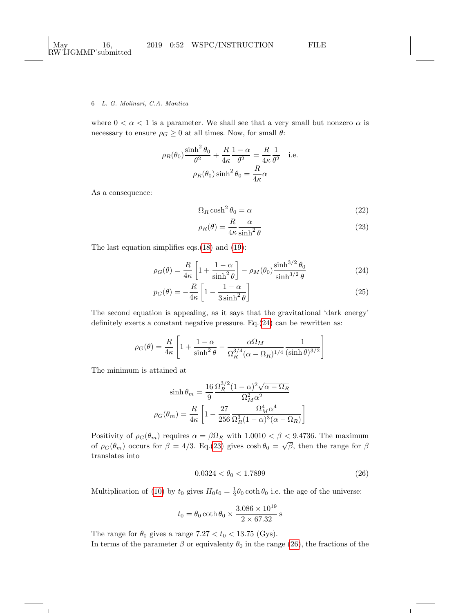### 6 L. G. Molinari, C.A. Mantica

where  $0 < \alpha < 1$  is a parameter. We shall see that a very small but nonzero  $\alpha$  is necessary to ensure  $\rho_G \geq 0$  at all times. Now, for small  $\theta$ :

$$
\rho_R(\theta_0) \frac{\sinh^2 \theta_0}{\theta^2} + \frac{R}{4\kappa} \frac{1-\alpha}{\theta^2} = \frac{R}{4\kappa} \frac{1}{\theta^2}
$$
 i.e.  

$$
\rho_R(\theta_0) \sinh^2 \theta_0 = \frac{R}{4\kappa} \alpha
$$

As a consequence:

$$
\Omega_R \cosh^2 \theta_0 = \alpha \tag{22}
$$

<span id="page-5-1"></span><span id="page-5-0"></span>
$$
\rho_R(\theta) = \frac{R}{4\kappa} \frac{\alpha}{\sinh^2 \theta} \tag{23}
$$

The last equation simplifies eqs.[\(18\)](#page-3-0) and [\(19\)](#page-3-1):

$$
\rho_G(\theta) = \frac{R}{4\kappa} \left[ 1 + \frac{1 - \alpha}{\sinh^2 \theta} \right] - \rho_M(\theta_0) \frac{\sinh^{3/2} \theta_0}{\sinh^{3/2} \theta} \tag{24}
$$

$$
p_G(\theta) = -\frac{R}{4\kappa} \left[ 1 - \frac{1 - \alpha}{3\sinh^2 \theta} \right]
$$
 (25)

The second equation is appealing, as it says that the gravitational 'dark energy' definitely exerts a constant negative pressure. Eq.[\(24\)](#page-5-0) can be rewritten as:

$$
\rho_G(\theta) = \frac{R}{4\kappa} \left[ 1 + \frac{1-\alpha}{\sinh^2 \theta} - \frac{\alpha \Omega_M}{\Omega_R^{3/4} (\alpha - \Omega_R)^{1/4}} \frac{1}{(\sinh \theta)^{3/2}} \right]
$$

The minimum is attained at

$$
\sinh \theta_m = \frac{16}{9} \frac{\Omega_R^{3/2} (1 - \alpha)^2 \sqrt{\alpha - \Omega_R}}{\Omega_M^2 \alpha^2}
$$

$$
\rho_G(\theta_m) = \frac{R}{4\kappa} \left[ 1 - \frac{27}{256} \frac{\Omega_M^4 \alpha^4}{\Omega_R^3 (1 - \alpha)^3 (\alpha - \Omega_R)} \right]
$$

Positivity of  $\rho_G(\theta_m)$  requires  $\alpha = \beta \Omega_R$  with  $1.0010 < \beta < 9.4736$ . The maximum of  $\rho_G(\theta_m)$  occurs for  $\beta = 4/3$ . Eq.[\(23\)](#page-5-1) gives  $\cosh \theta_0 = \sqrt{\beta}$ , then the range for  $\beta$ translates into

<span id="page-5-2"></span>
$$
0.0324 < \theta_0 < 1.7899 \tag{26}
$$

Multiplication of [\(10\)](#page-2-3) by  $t_0$  gives  $H_0 t_0 = \frac{1}{2} \theta_0 \coth \theta_0$  i.e. the age of the universe:

$$
t_0 = \theta_0 \coth \theta_0 \times \frac{3.086 \times 10^{19}}{2 \times 67.32}
$$
 s

The range for  $\theta_0$  gives a range 7.27  $< t_0 < 13.75$  (Gys). In terms of the parameter  $\beta$  or equivalenty  $\theta_0$  in the range [\(26\)](#page-5-2), the fractions of the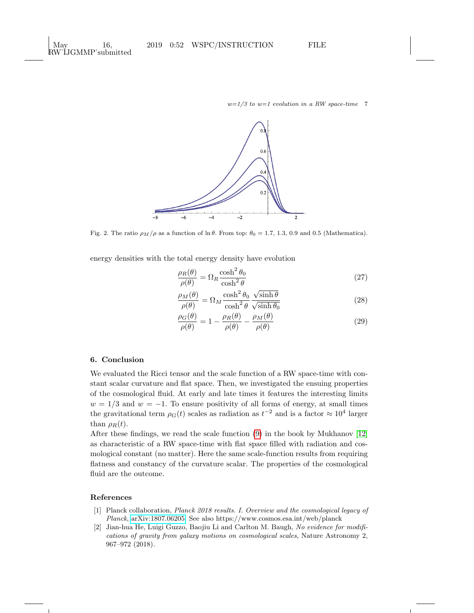

Fig. 2. The ratio  $\rho_M/\rho$  as a function of ln θ. From top:  $\theta_0 = 1.7, 1.3, 0.9$  and 0.5 (Mathematica).

energy densities with the total energy density have evolution

$$
\frac{\rho_R(\theta)}{\rho(\theta)} = \Omega_R \frac{\cosh^2 \theta_0}{\cosh^2 \theta} \tag{27}
$$

$$
\frac{\rho_M(\theta)}{\rho(\theta)} = \Omega_M \frac{\cosh^2 \theta_0}{\cosh^2 \theta} \frac{\sqrt{\sinh \theta}}{\sqrt{\sinh \theta_0}}\n\tag{28}
$$

$$
\frac{\rho_G(\theta)}{\rho(\theta)} = 1 - \frac{\rho_R(\theta)}{\rho(\theta)} - \frac{\rho_M(\theta)}{\rho(\theta)}
$$
\n(29)

## 6. Conclusion

We evaluated the Ricci tensor and the scale function of a RW space-time with constant scalar curvature and flat space. Then, we investigated the ensuing properties of the cosmological fluid. At early and late times it features the interesting limits  $w = 1/3$  and  $w = -1$ . To ensure positivity of all forms of energy, at small times the gravitational term  $\rho_G(t)$  scales as radiation as  $t^{-2}$  and is a factor  $\approx 10^4$  larger than  $\rho_R(t)$ .

After these findings, we read the scale function [\(9\)](#page-2-4) in the book by Mukhanov [\[12\]](#page-7-9) as characteristic of a RW space-time with flat space filled with radiation and cosmological constant (no matter). Here the same scale-function results from requiring flatness and constancy of the curvature scalar. The properties of the cosmological fluid are the outcome.

### References

- <span id="page-6-0"></span>[1] Planck collaboration, Planck 2018 results. I. Overview and the cosmological legacy of Planck, [arXiv:1807.06205.](http://arxiv.org/abs/1807.06205) See also https://www.cosmos.esa.int/web/planck
- <span id="page-6-1"></span>[2] Jian-hua He, Luigi Guzzo, Baojiu Li and Carlton M. Baugh, No evidence for modifications of gravity from galaxy motions on cosmological scales, Nature Astronomy 2, 967–972 (2018).